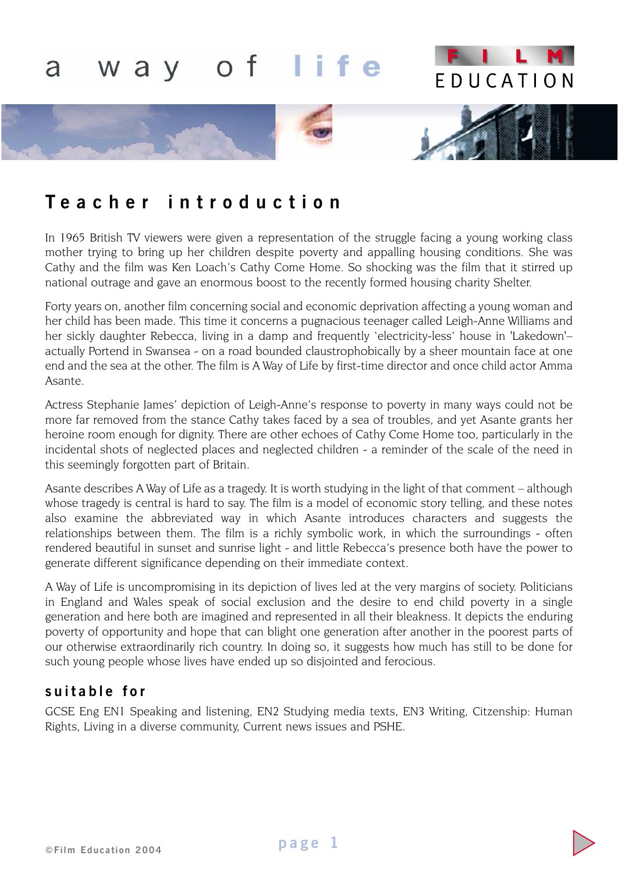

# **Teacher introduction**

In 1965 British TV viewers were given a representation of the struggle facing a young working class mother trying to bring up her children despite poverty and appalling housing conditions. She was Cathy and the film was Ken Loach's Cathy Come Home. So shocking was the film that it stirred up national outrage and gave an enormous boost to the recently formed housing charity Shelter.

Forty years on, another film concerning social and economic deprivation affecting a young woman and her child has been made. This time it concerns a pugnacious teenager called Leigh-Anne Williams and her sickly daughter Rebecca, living in a damp and frequently 'electricity-less' house in 'Lakedown'– actually Portend in Swansea - on a road bounded claustrophobically by a sheer mountain face at one end and the sea at the other. The film is A Way of Life by first-time director and once child actor Amma Asante.

Actress Stephanie James' depiction of Leigh-Anne's response to poverty in many ways could not be more far removed from the stance Cathy takes faced by a sea of troubles, and yet Asante grants her heroine room enough for dignity. There are other echoes of Cathy Come Home too, particularly in the incidental shots of neglected places and neglected children - a reminder of the scale of the need in this seemingly forgotten part of Britain.

Asante describes A Way of Life as a tragedy. It is worth studying in the light of that comment – although whose tragedy is central is hard to say. The film is a model of economic story telling, and these notes also examine the abbreviated way in which Asante introduces characters and suggests the relationships between them. The film is a richly symbolic work, in which the surroundings - often rendered beautiful in sunset and sunrise light - and little Rebecca's presence both have the power to generate different significance depending on their immediate context.

A Way of Life is uncompromising in its depiction of lives led at the very margins of society. Politicians in England and Wales speak of social exclusion and the desire to end child poverty in a single generation and here both are imagined and represented in all their bleakness. It depicts the enduring poverty of opportunity and hope that can blight one generation after another in the poorest parts of our otherwise extraordinarily rich country. In doing so, it suggests how much has still to be done for such young people whose lives have ended up so disjointed and ferocious.

## **suitable for**

GCSE Eng EN1 Speaking and listening, EN2 Studying media texts, EN3 Writing, Citzenship: Human Rights, Living in a diverse community, Current news issues and PSHE.

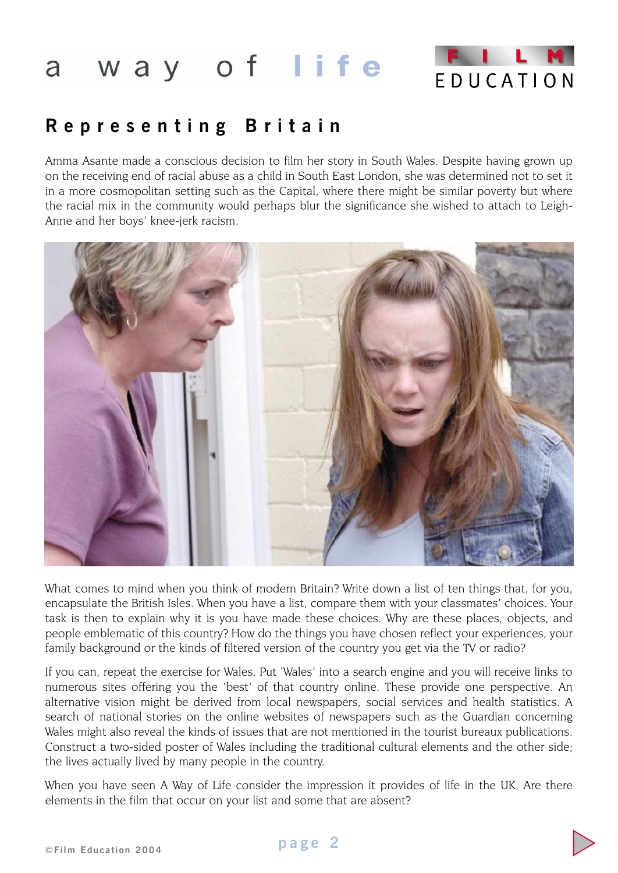

# **Representing Britain**

Amma Asante made a conscious decision to film her story in South Wales. Despite having grown up on the receiving end of racial abuse as a child in South East London, she was determined not to set it in a more cosmopolitan setting such as the Capital, where there might be similar poverty but where the racial mix in the community would perhaps blur the significance she wished to attach to Leigh-Anne and her boys' knee-jerk racism.



What comes to mind when you think of modern Britain? Write down a list of ten things that, for you, encapsulate the British Isles. When you have a list, compare them with your classmates' choices. Your task is then to explain why it is you have made these choices. Why are these places, objects, and people emblematic of this country? How do the things you have chosen reflect your experiences, your family background or the kinds of filtered version of the country you get via the TV or radio?

If you can, repeat the exercise for Wales. Put 'Wales' into a search engine and you will receive links to numerous sites offering you the 'best' of that country online. These provide one perspective. An alternative vision might be derived from local newspapers, social services and health statistics. A search of national stories on the online websites of newspapers such as the Guardian concerning Wales might also reveal the kinds of issues that are not mentioned in the tourist bureaux publications. Construct a two-sided poster of Wales including the traditional cultural elements and the other side; the lives actually lived by many people in the country.

When you have seen A Way of Life consider the impression it provides of life in the UK. Are there elements in the film that occur on your list and some that are absent?

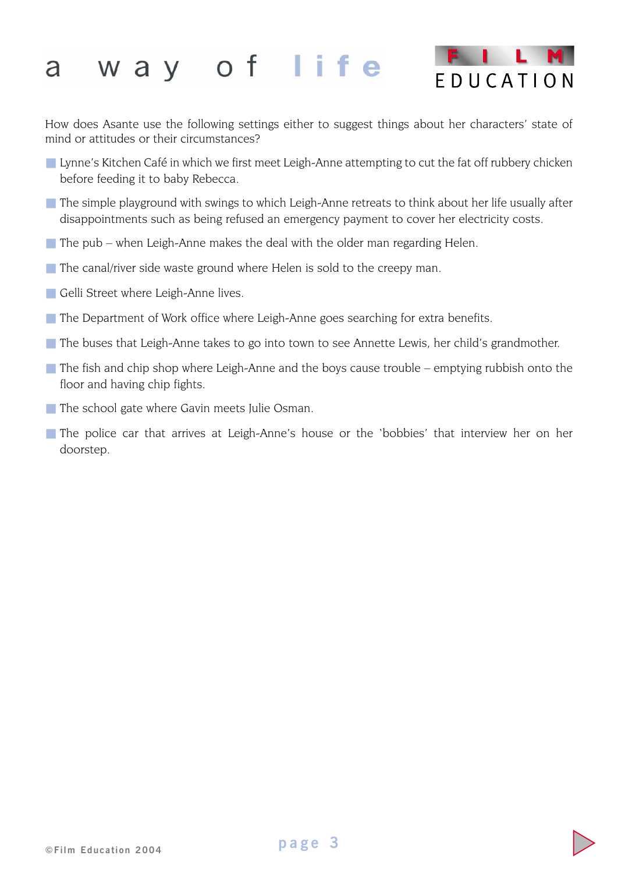

How does Asante use the following settings either to suggest things about her characters' state of mind or attitudes or their circumstances?

- Lynne's Kitchen Café in which we first meet Leigh-Anne attempting to cut the fat off rubbery chicken before feeding it to baby Rebecca.
- The simple playground with swings to which Leigh-Anne retreats to think about her life usually after disappointments such as being refused an emergency payment to cover her electricity costs.
- $\blacksquare$  The pub when Leigh-Anne makes the deal with the older man regarding Helen.
- $\blacksquare$  The canal/river side waste ground where Helen is sold to the creepy man.
- Gelli Street where Leigh-Anne lives.
- The Department of Work office where Leigh-Anne goes searching for extra benefits.
- The buses that Leigh-Anne takes to go into town to see Annette Lewis, her child's grandmother.
- $\blacksquare$  The fish and chip shop where Leigh-Anne and the boys cause trouble emptying rubbish onto the floor and having chip fights.
- The school gate where Gavin meets Julie Osman.
- The police car that arrives at Leigh-Anne's house or the 'bobbies' that interview her on her doorstep.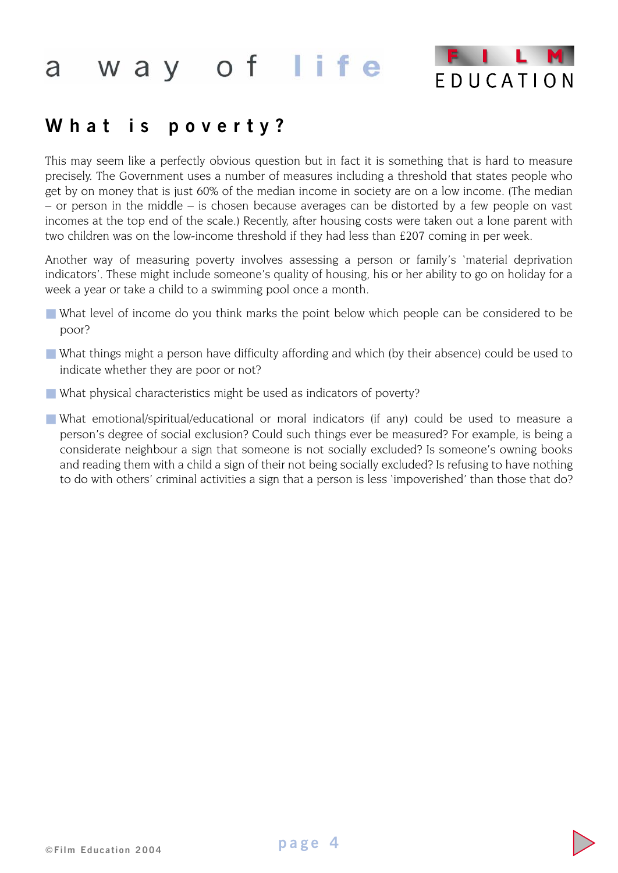

## **What is poverty?**

This may seem like a perfectly obvious question but in fact it is something that is hard to measure precisely. The Government uses a number of measures including a threshold that states people who get by on money that is just 60% of the median income in society are on a low income. (The median – or person in the middle – is chosen because averages can be distorted by a few people on vast incomes at the top end of the scale.) Recently, after housing costs were taken out a lone parent with two children was on the low-income threshold if they had less than £207 coming in per week.

Another way of measuring poverty involves assessing a person or family's 'material deprivation indicators'. These might include someone's quality of housing, his or her ability to go on holiday for a week a year or take a child to a swimming pool once a month.

- What level of income do you think marks the point below which people can be considered to be poor?
- What things might a person have difficulty affording and which (by their absence) could be used to indicate whether they are poor or not?
- What physical characteristics might be used as indicators of poverty?
- What emotional/spiritual/educational or moral indicators (if any) could be used to measure a person's degree of social exclusion? Could such things ever be measured? For example, is being a considerate neighbour a sign that someone is not socially excluded? Is someone's owning books and reading them with a child a sign of their not being socially excluded? Is refusing to have nothing to do with others' criminal activities a sign that a person is less 'impoverished' than those that do?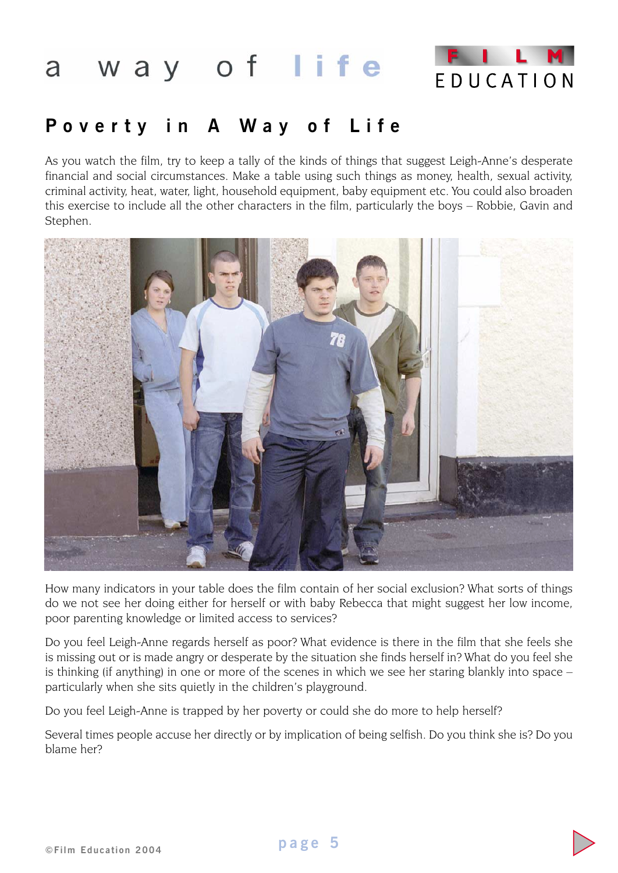

# **Poverty in A Way of Life**

As you watch the film, try to keep a tally of the kinds of things that suggest Leigh-Anne's desperate financial and social circumstances. Make a table using such things as money, health, sexual activity, criminal activity, heat, water, light, household equipment, baby equipment etc. You could also broaden this exercise to include all the other characters in the film, particularly the boys – Robbie, Gavin and Stephen.



How many indicators in your table does the film contain of her social exclusion? What sorts of things do we not see her doing either for herself or with baby Rebecca that might suggest her low income, poor parenting knowledge or limited access to services?

Do you feel Leigh-Anne regards herself as poor? What evidence is there in the film that she feels she is missing out or is made angry or desperate by the situation she finds herself in? What do you feel she is thinking (if anything) in one or more of the scenes in which we see her staring blankly into space – particularly when she sits quietly in the children's playground.

Do you feel Leigh-Anne is trapped by her poverty or could she do more to help herself?

Several times people accuse her directly or by implication of being selfish. Do you think she is? Do you blame her?

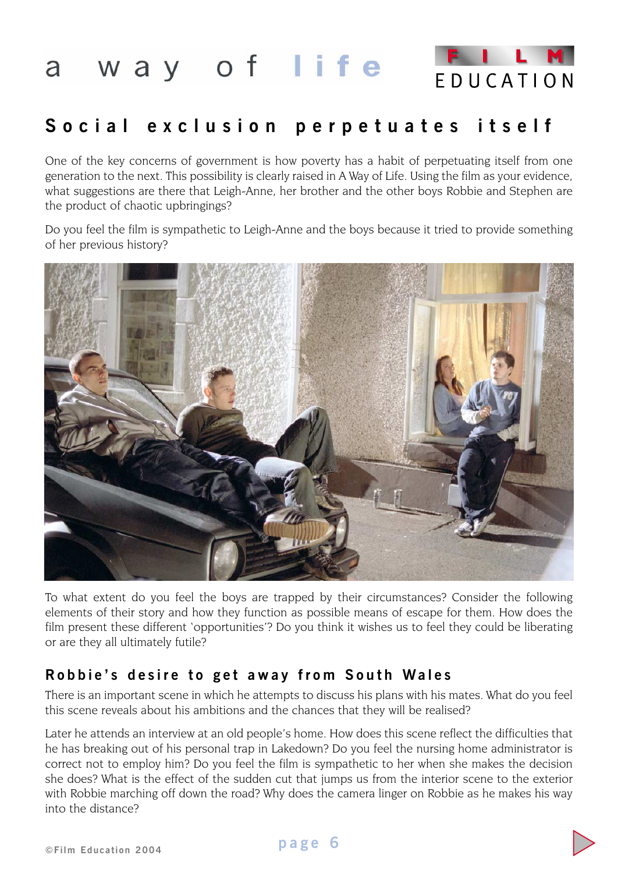

# **Social exclusion perpetuates itself**

One of the key concerns of government is how poverty has a habit of perpetuating itself from one generation to the next. This possibility is clearly raised in A Way of Life. Using the film as your evidence, what suggestions are there that Leigh-Anne, her brother and the other boys Robbie and Stephen are the product of chaotic upbringings?

Do you feel the film is sympathetic to Leigh-Anne and the boys because it tried to provide something of her previous history?



To what extent do you feel the boys are trapped by their circumstances? Consider the following elements of their story and how they function as possible means of escape for them. How does the film present these different 'opportunities'? Do you think it wishes us to feel they could be liberating or are they all ultimately futile?

## **Robbie's desire to get away from South Wales**

There is an important scene in which he attempts to discuss his plans with his mates. What do you feel this scene reveals about his ambitions and the chances that they will be realised?

Later he attends an interview at an old people's home. How does this scene reflect the difficulties that he has breaking out of his personal trap in Lakedown? Do you feel the nursing home administrator is correct not to employ him? Do you feel the film is sympathetic to her when she makes the decision she does? What is the effect of the sudden cut that jumps us from the interior scene to the exterior with Robbie marching off down the road? Why does the camera linger on Robbie as he makes his way into the distance?

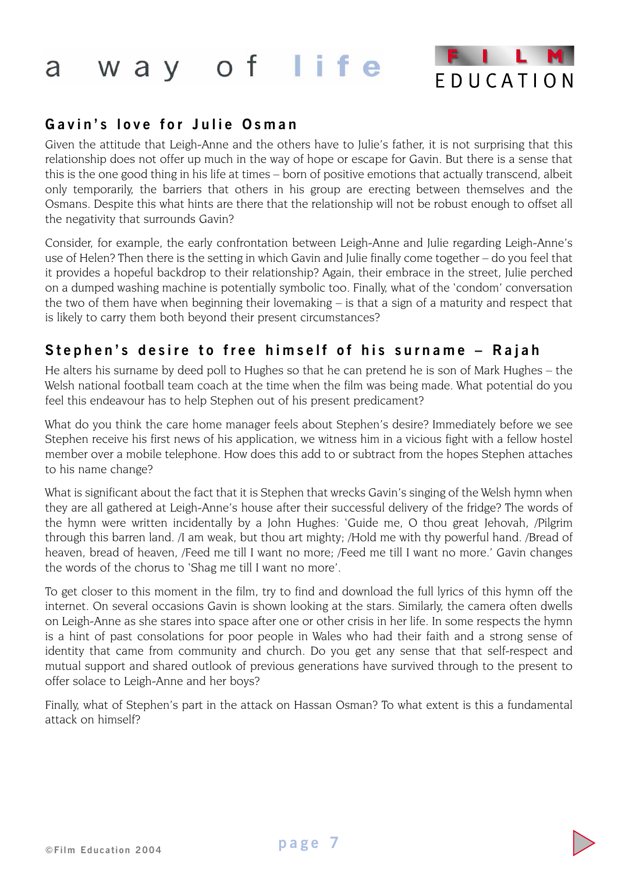

## **Gavin ' s love for Julie Osman**

Given the attitude that Leigh-Anne and the others have to Julie's father, it is not surprising that this relationship does not offer up much in the way of hope or escape for Gavin. But there is a sense that this is the one good thing in his life at times – born of positive emotions that actually transcend, albeit only temporarily, the barriers that others in his group are erecting between themselves and the Osmans. Despite this what hints are there that the relationship will not be robust enough to offset all the negativity that surrounds Gavin?

Consider, for example, the early confrontation between Leigh-Anne and Julie regarding Leigh-Anne's use of Helen? Then there is the setting in which Gavin and Julie finally come together – do you feel that it provides a hopeful backdrop to their relationship? Again, their embrace in the street, Julie perched on a dumped washing machine is potentially symbolic too. Finally, what of the 'condom' conversation the two of them have when beginning their lovemaking – is that a sign of a maturity and respect that is likely to carry them both beyond their present circumstances?

## **Stephen ' s desire to free himself of his surname – Rajah**

He alters his surname by deed poll to Hughes so that he can pretend he is son of Mark Hughes – the Welsh national football team coach at the time when the film was being made. What potential do you feel this endeavour has to help Stephen out of his present predicament?

What do you think the care home manager feels about Stephen's desire? Immediately before we see Stephen receive his first news of his application, we witness him in a vicious fight with a fellow hostel member over a mobile telephone. How does this add to or subtract from the hopes Stephen attaches to his name change?

What is significant about the fact that it is Stephen that wrecks Gavin's singing of the Welsh hymn when they are all gathered at Leigh-Anne's house after their successful delivery of the fridge? The words of the hymn were written incidentally by a John Hughes: 'Guide me, O thou great Jehovah, /Pilgrim through this barren land. /I am weak, but thou art mighty; /Hold me with thy powerful hand. /Bread of heaven, bread of heaven, /Feed me till I want no more; /Feed me till I want no more.' Gavin changes the words of the chorus to 'Shag me till I want no more'.

To get closer to this moment in the film, try to find and download the full lyrics of this hymn off the internet. On several occasions Gavin is shown looking at the stars. Similarly, the camera often dwells on Leigh-Anne as she stares into space after one or other crisis in her life. In some respects the hymn is a hint of past consolations for poor people in Wales who had their faith and a strong sense of identity that came from community and church. Do you get any sense that that self-respect and mutual support and shared outlook of previous generations have survived through to the present to offer solace to Leigh-Anne and her boys?

Finally, what of Stephen's part in the attack on Hassan Osman? To what extent is this a fundamental attack on himself?

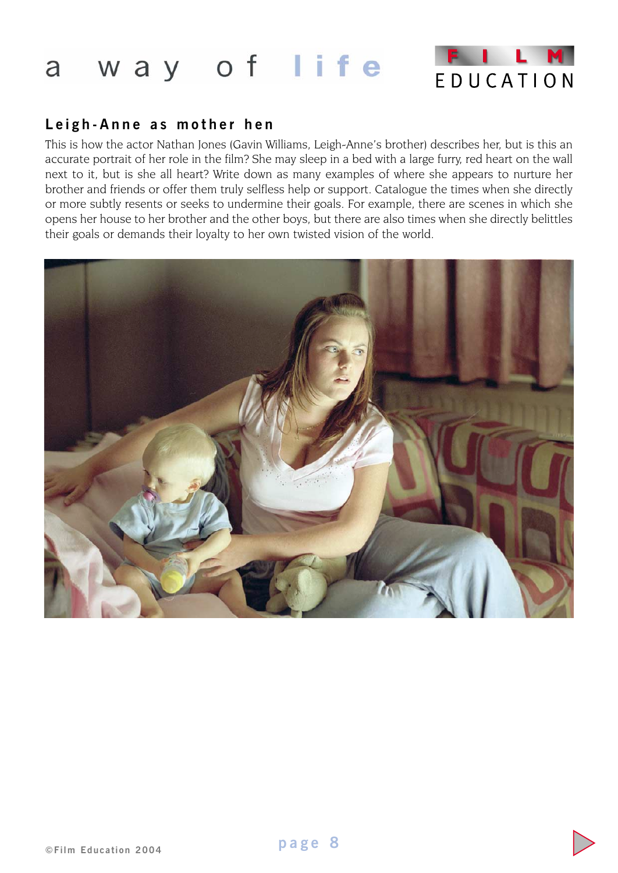

## **Leigh-Anne as mother hen**

This is how the actor Nathan Jones (Gavin Williams, Leigh-Anne's brother) describes her, but is this an accurate portrait of her role in the film? She may sleep in a bed with a large furry, red heart on the wall next to it, but is she all heart? Write down as many examples of where she appears to nurture her brother and friends or offer them truly selfless help or support. Catalogue the times when she directly or more subtly resents or seeks to undermine their goals. For example, there are scenes in which she opens her house to her brother and the other boys, but there are also times when she directly belittles their goals or demands their loyalty to her own twisted vision of the world.



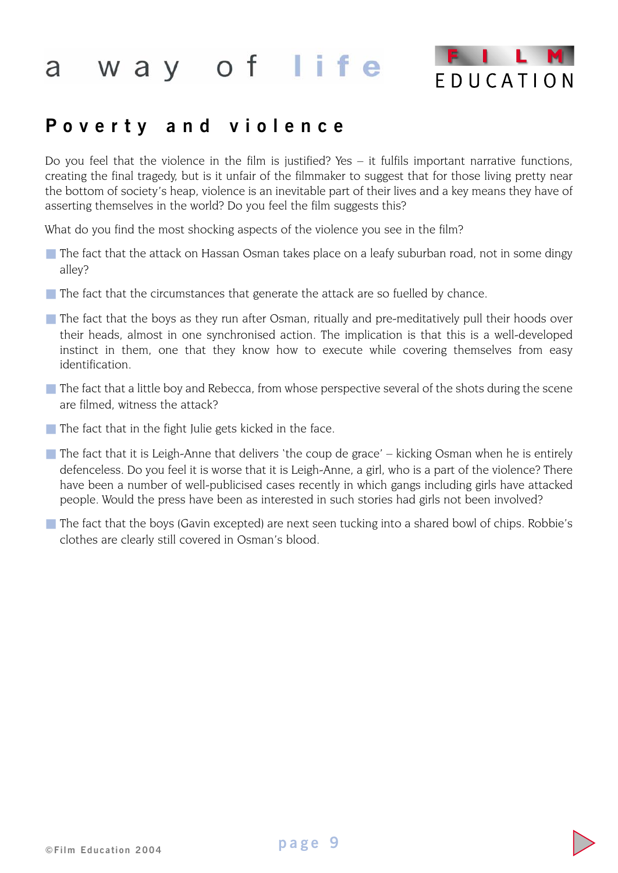

## **Poverty and violence**

Do you feel that the violence in the film is justified? Yes – it fulfils important narrative functions, creating the final tragedy, but is it unfair of the filmmaker to suggest that for those living pretty near the bottom of society's heap, violence is an inevitable part of their lives and a key means they have of asserting themselves in the world? Do you feel the film suggests this?

What do you find the most shocking aspects of the violence you see in the film?

- The fact that the attack on Hassan Osman takes place on a leafy suburban road, not in some dingy alley?
- The fact that the circumstances that generate the attack are so fuelled by chance.
- The fact that the boys as they run after Osman, ritually and pre-meditatively pull their hoods over their heads, almost in one synchronised action. The implication is that this is a well-developed instinct in them, one that they know how to execute while covering themselves from easy identification.
- The fact that a little boy and Rebecca, from whose perspective several of the shots during the scene are filmed, witness the attack?
- $\blacksquare$  The fact that in the fight Julie gets kicked in the face.
- $\blacksquare$  The fact that it is Leigh-Anne that delivers 'the coup de grace' kicking Osman when he is entirely defenceless. Do you feel it is worse that it is Leigh-Anne, a girl, who is a part of the violence? There have been a number of well-publicised cases recently in which gangs including girls have attacked people. Would the press have been as interested in such stories had girls not been involved?
- The fact that the boys (Gavin excepted) are next seen tucking into a shared bowl of chips. Robbie's clothes are clearly still covered in Osman's blood.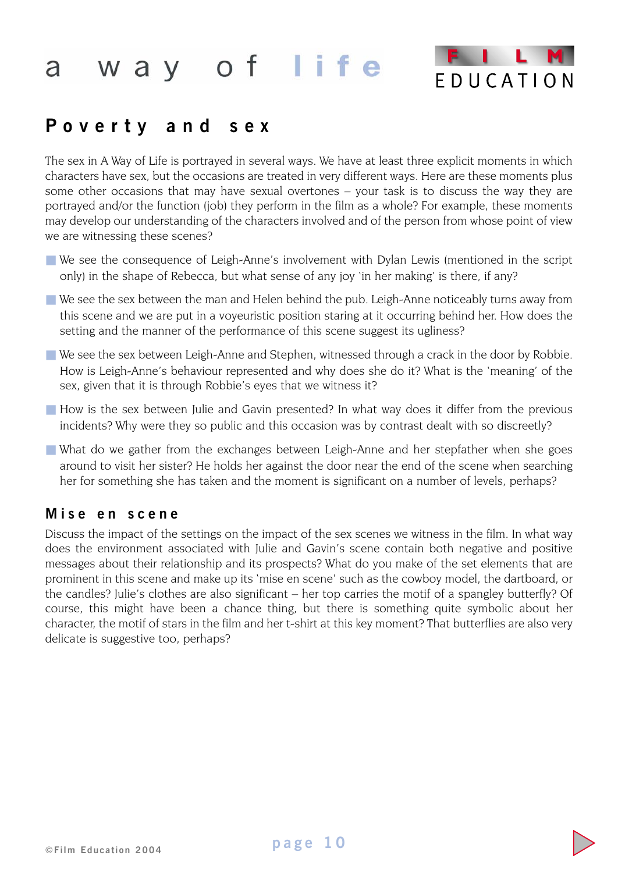

## **Poverty and sex**

The sex in A Way of Life is portrayed in several ways. We have at least three explicit moments in which characters have sex, but the occasions are treated in very different ways. Here are these moments plus some other occasions that may have sexual overtones – your task is to discuss the way they are portrayed and/or the function (job) they perform in the film as a whole? For example, these moments may develop our understanding of the characters involved and of the person from whose point of view we are witnessing these scenes?

- We see the consequence of Leigh-Anne's involvement with Dylan Lewis (mentioned in the script only) in the shape of Rebecca, but what sense of any joy 'in her making' is there, if any?
- We see the sex between the man and Helen behind the pub. Leigh-Anne noticeably turns away from this scene and we are put in a voyeuristic position staring at it occurring behind her. How does the setting and the manner of the performance of this scene suggest its ugliness?
- We see the sex between Leigh-Anne and Stephen, witnessed through a crack in the door by Robbie. How is Leigh-Anne's behaviour represented and why does she do it? What is the 'meaning' of the sex, given that it is through Robbie's eyes that we witness it?
- How is the sex between Julie and Gavin presented? In what way does it differ from the previous incidents? Why were they so public and this occasion was by contrast dealt with so discreetly?
- What do we gather from the exchanges between Leigh-Anne and her stepfather when she goes around to visit her sister? He holds her against the door near the end of the scene when searching her for something she has taken and the moment is significant on a number of levels, perhaps?

## **Mise en scene**

Discuss the impact of the settings on the impact of the sex scenes we witness in the film. In what way does the environment associated with Julie and Gavin's scene contain both negative and positive messages about their relationship and its prospects? What do you make of the set elements that are prominent in this scene and make up its 'mise en scene' such as the cowboy model, the dartboard, or the candles? Julie's clothes are also significant – her top carries the motif of a spangley butterfly? Of course, this might have been a chance thing, but there is something quite symbolic about her character, the motif of stars in the film and her t-shirt at this key moment? That butterflies are also very delicate is suggestive too, perhaps?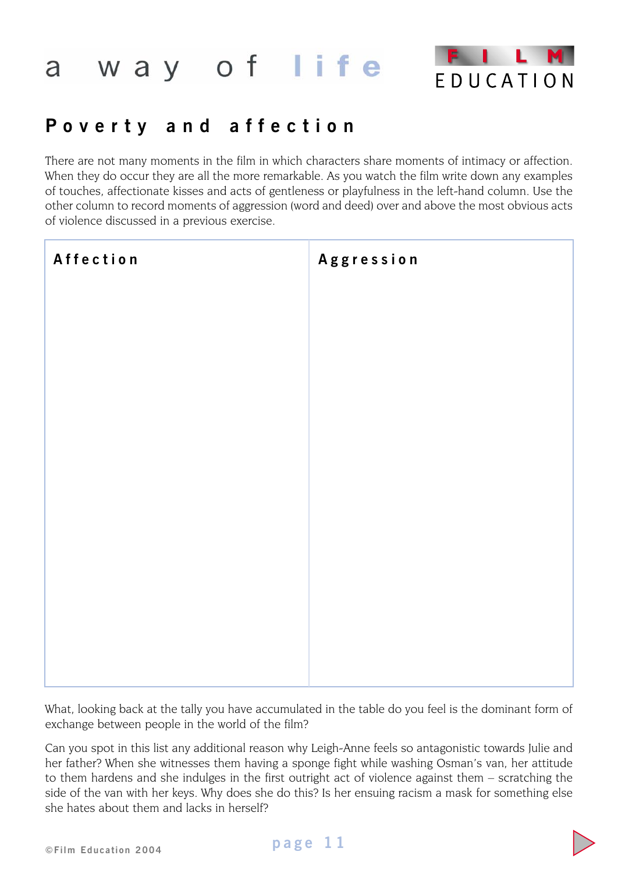

# **Poverty and affection**

There are not many moments in the film in which characters share moments of intimacy or affection. When they do occur they are all the more remarkable. As you watch the film write down any examples of touches, affectionate kisses and acts of gentleness or playfulness in the left-hand column. Use the other column to record moments of aggression (word and deed) over and above the most obvious acts of violence discussed in a previous exercise.

| Affection | Aggression |
|-----------|------------|
|           |            |
|           |            |
|           |            |
|           |            |
|           |            |
|           |            |
|           |            |
|           |            |
|           |            |

What, looking back at the tally you have accumulated in the table do you feel is the dominant form of exchange between people in the world of the film?

Can you spot in this list any additional reason why Leigh-Anne feels so antagonistic towards Julie and her father? When she witnesses them having a sponge fight while washing Osman's van, her attitude to them hardens and she indulges in the first outright act of violence against them – scratching the side of the van with her keys. Why does she do this? Is her ensuing racism a mask for something else she hates about them and lacks in herself?



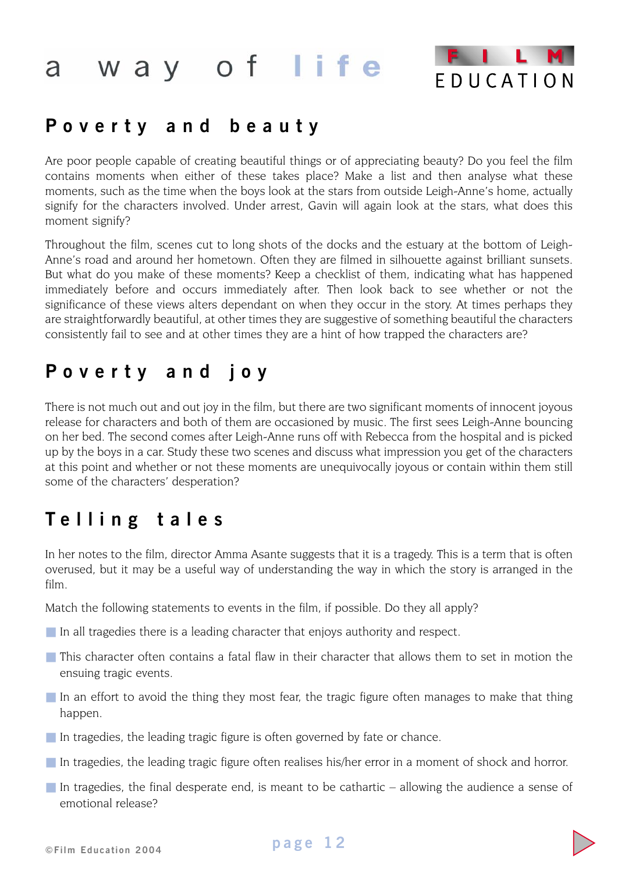

## **Poverty and beauty**

Are poor people capable of creating beautiful things or of appreciating beauty? Do you feel the film contains moments when either of these takes place? Make a list and then analyse what these moments, such as the time when the boys look at the stars from outside Leigh-Anne's home, actually signify for the characters involved. Under arrest, Gavin will again look at the stars, what does this moment signify?

Throughout the film, scenes cut to long shots of the docks and the estuary at the bottom of Leigh-Anne's road and around her hometown. Often they are filmed in silhouette against brilliant sunsets. But what do you make of these moments? Keep a checklist of them, indicating what has happened immediately before and occurs immediately after. Then look back to see whether or not the significance of these views alters dependant on when they occur in the story. At times perhaps they are straightforwardly beautiful, at other times they are suggestive of something beautiful the characters consistently fail to see and at other times they are a hint of how trapped the characters are?

## **Poverty and joy**

There is not much out and out joy in the film, but there are two significant moments of innocent joyous release for characters and both of them are occasioned by music. The first sees Leigh-Anne bouncing on her bed. The second comes after Leigh-Anne runs off with Rebecca from the hospital and is picked up by the boys in a car. Study these two scenes and discuss what impression you get of the characters at this point and whether or not these moments are unequivocally joyous or contain within them still some of the characters' desperation?

# **Telling tales**

In her notes to the film, director Amma Asante suggests that it is a tragedy. This is a term that is often overused, but it may be a useful way of understanding the way in which the story is arranged in the film.

Match the following statements to events in the film, if possible. Do they all apply?

- In all tragedies there is a leading character that enjoys authority and respect.
- This character often contains a fatal flaw in their character that allows them to set in motion the ensuing tragic events.
- In an effort to avoid the thing they most fear, the tragic figure often manages to make that thing happen.
- In tragedies, the leading tragic figure is often governed by fate or chance.
- In tragedies, the leading tragic figure often realises his/her error in a moment of shock and horror.
- $\blacksquare$  In tragedies, the final desperate end, is meant to be cathartic allowing the audience a sense of emotional release?

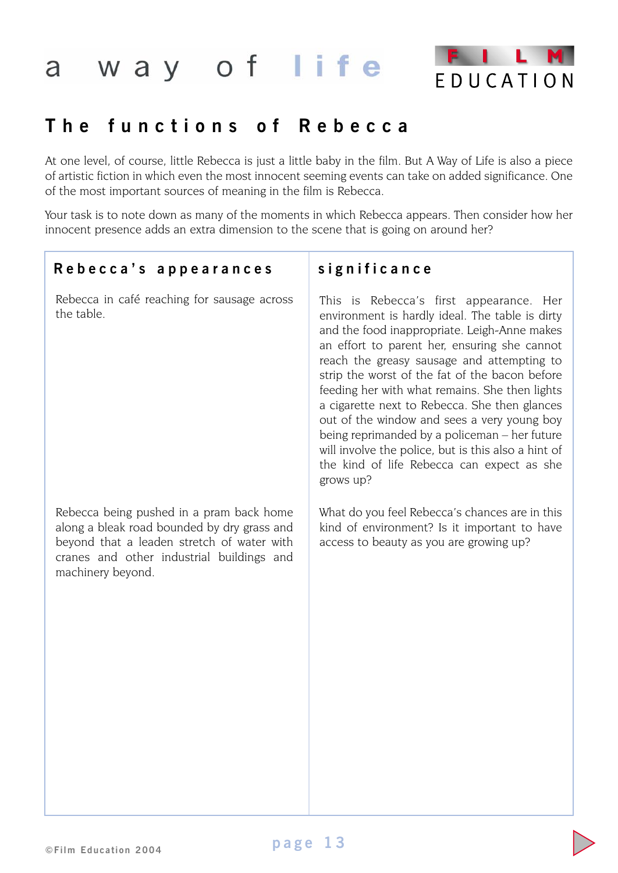

## **The functions of Rebecca**

At one level, of course, little Rebecca is just a little baby in the film. But A Way of Life is also a piece of artistic fiction in which even the most innocent seeming events can take on added significance. One of the most important sources of meaning in the film is Rebecca.

Your task is to note down as many of the moments in which Rebecca appears. Then consider how her innocent presence adds an extra dimension to the scene that is going on around her?

## **Rebecca ' s appearances significance**

Rebecca in café reaching for sausage across the table.

Rebecca being pushed in a pram back home along a bleak road bounded by dry grass and beyond that a leaden stretch of water with cranes and other industrial buildings and machinery beyond.

This is Rebecca's first appearance. Her environment is hardly ideal. The table is dirty and the food inappropriate. Leigh-Anne makes an effort to parent her, ensuring she cannot reach the greasy sausage and attempting to strip the worst of the fat of the bacon before feeding her with what remains. She then lights a cigarette next to Rebecca. She then glances out of the window and sees a very young boy being reprimanded by a policeman – her future will involve the police, but is this also a hint of the kind of life Rebecca can expect as she grows up?

What do you feel Rebecca's chances are in this kind of environment? Is it important to have access to beauty as you are growing up?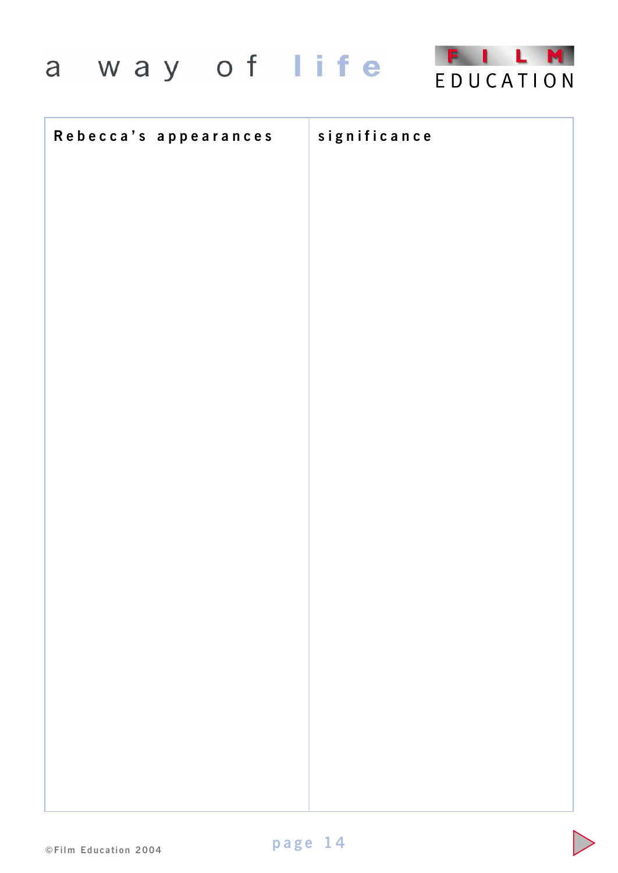

| Rebecca's appearances | significance |
|-----------------------|--------------|
|                       |              |
|                       |              |
|                       |              |
|                       |              |
|                       |              |
|                       |              |
|                       |              |
|                       |              |
|                       |              |
|                       |              |
|                       |              |
|                       |              |
|                       |              |
|                       |              |
|                       |              |